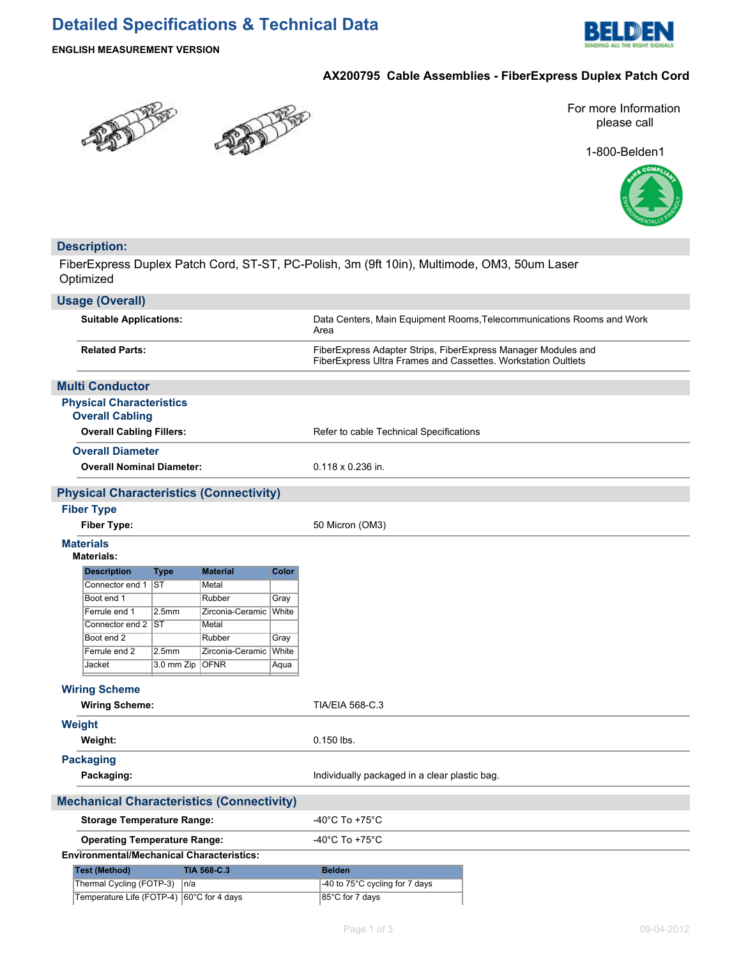## **Detailed Specifications & Technical Data**



#### **ENGLISH MEASUREMENT VERSION**

**Description:**

#### **AX200795 Cable Assemblies - FiberExpress Duplex Patch Cord**





1-800-Belden1



## FiberExpress Duplex Patch Cord, ST-ST, PC-Polish, 3m (9ft 10in), Multimode, OM3, 50um Laser Optimized **Usage (Overall) Suitable Applications:** Data Centers, Main Equipment Rooms,Telecommunications Rooms and Work Area **Related Parts:** FiberExpress Adapter Strips, FiberExpress Manager Modules and FiberExpress Ultra Frames and Cassettes. Workstation Oultlets **Multi Conductor Physical Characteristics Overall Cabling Overall Cabling Fillers:** Refer to cable Technical Specifications **Overall Diameter Overall Nominal Diameter:** 0.118 x 0.236 in. **Physical Characteristics (Connectivity) Fiber Type Fiber Type:** 50 Micron (OM3) **Materials Materials: Description Type Material Color** Connector end 1 ST Metal Boot end 1 Rubber Gray Ferrule end 1 2.5mm Zirconia-Ceramic White Connector end 2 ST Metal Boot end 2 Rubber Gray Ferrule end 2 2.5mm Zirconia-Ceramic White Jacket 3.0 mm Zip OFNR Aqua **Wiring Scheme** Wiring Scheme: TIA/EIA 568-C.3 **Weight Weight:** 0.150 lbs. **Packaging Packaging:** The *Individually packaged in a clear plastic bag.* Individually packaged in a clear plastic bag. **Mechanical Characteristics (Connectivity) Storage Temperature Range:**  $-40^{\circ}$ C To +75<sup>°</sup>C **Operating Temperature Range:**  $-40^{\circ}$ C To +75°C **Environmental/Mechanical Characteristics:** Test (Method) **TIA 568-C.3 Belden** Thermal Cycling (FOTP-3)  $n/a$  -40 to 75°C cycling for 7 days Temperature Life (FOTP-4) 60°C for 4 days 85°C for 7 days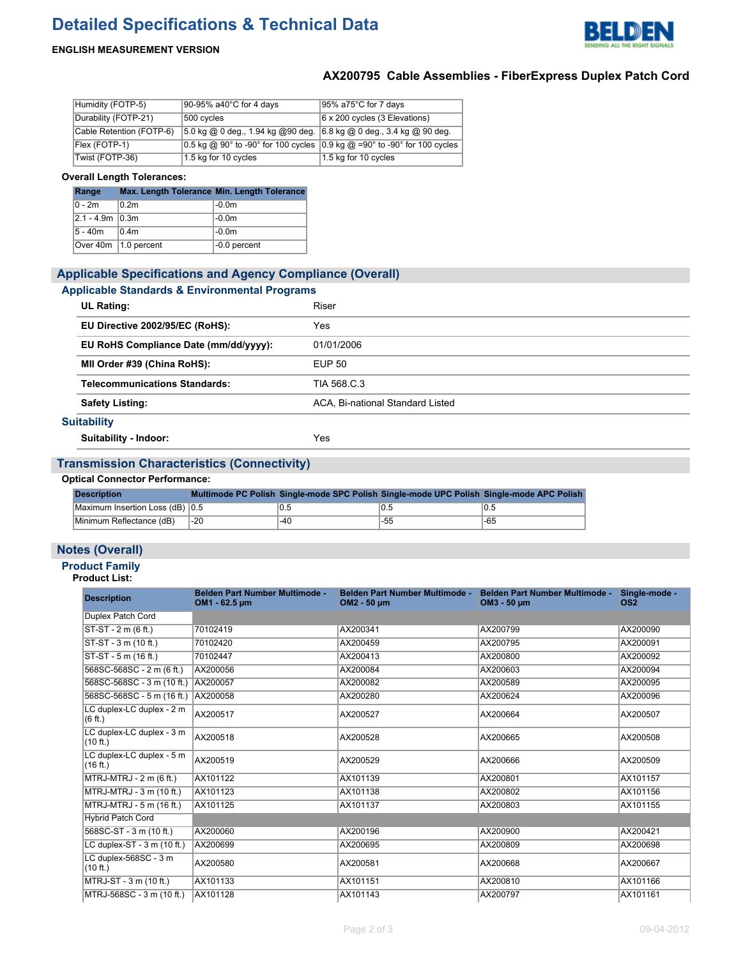# **Detailed Specifications & Technical Data**



#### **ENGLISH MEASUREMENT VERSION**

## **AX200795 Cable Assemblies - FiberExpress Duplex Patch Cord**

| Humidity (FOTP-5)        | 90-95% a40°C for 4 days                                              | $ 95\%$ a75°C for 7 days                                                    |
|--------------------------|----------------------------------------------------------------------|-----------------------------------------------------------------------------|
| Durability (FOTP-21)     | 500 cycles                                                           | $ 6 \times 200$ cycles (3 Elevations)                                       |
| Cable Retention (FOTP-6) | 5.0 kg @ 0 deg., 1.94 kg @ 90 deg. 6.8 kg @ 0 deg., 3.4 kg @ 90 deg. |                                                                             |
| Flex (FOTP-1)            |                                                                      | 0.5 kg @ 90° to -90° for 100 cycles $ 0.9$ kg @ =90° to -90° for 100 cycles |
| Twist (FOTP-36)          | 1.5 kg for 10 cycles                                                 | 1.5 kg for 10 cycles                                                        |

#### **Overall Length Tolerances:**

| Range               | Max. Length Tolerance Min. Length Tolerance |                |
|---------------------|---------------------------------------------|----------------|
| $0 - 2m$            | 0.2 <sub>m</sub>                            | $ -0.0m$       |
| $ 2.1 - 4.9m 0.3m $ |                                             | $ -0.0m$       |
| ∣5 - 40m            | 0.4 <sub>m</sub>                            | $ -0.0m$       |
|                     | Over $40m$   1.0 percent                    | $-0.0$ percent |

| <b>Applicable Specifications and Agency Compliance (Overall)</b> |                                  |  |  |
|------------------------------------------------------------------|----------------------------------|--|--|
| <b>Applicable Standards &amp; Environmental Programs</b>         |                                  |  |  |
| <b>UL Rating:</b>                                                | Riser                            |  |  |
| EU Directive 2002/95/EC (RoHS):                                  | Yes                              |  |  |
| EU RoHS Compliance Date (mm/dd/yyyy):                            | 01/01/2006                       |  |  |
| MII Order #39 (China RoHS):                                      | <b>EUP 50</b>                    |  |  |
| <b>Telecommunications Standards:</b>                             | TIA 568 C.3                      |  |  |
| <b>Safety Listing:</b>                                           | ACA. Bi-national Standard Listed |  |  |
| <b>Suitability</b>                                               |                                  |  |  |
| Suitability - Indoor:                                            | Yes                              |  |  |

#### **Transmission Characteristics (Connectivity)**

#### **Optical Connector Performance:**

| <b>Description</b>              |       |     |      | Multimode PC Polish Single-mode SPC Polish Single-mode UPC Polish Single-mode APC Polish |
|---------------------------------|-------|-----|------|------------------------------------------------------------------------------------------|
| Maximum Insertion Loss (dB) 0.5 |       |     | 'U.5 | 0.5                                                                                      |
| Minimum Reflectance (dB)        | $-20$ | -40 | -55  | $-65$                                                                                    |

#### **Notes (Overall)**

## **Product Family**

#### **Product List:**

| <b>Description</b>                    | Belden Part Number Multimode -<br>OM1 - 62.5 µm | Belden Part Number Multimode -<br>OM2 - 50 µm | Belden Part Number Multimode -<br>OM3 - 50 µm | Single-mode -<br>OS <sub>2</sub> |
|---------------------------------------|-------------------------------------------------|-----------------------------------------------|-----------------------------------------------|----------------------------------|
| Duplex Patch Cord                     |                                                 |                                               |                                               |                                  |
| ST-ST - 2 m (6 ft.)                   | 70102419                                        | AX200341                                      | AX200799                                      | AX200090                         |
| ST-ST - 3 m (10 ft.)                  | 70102420                                        | AX200459                                      | AX200795                                      | AX200091                         |
| ST-ST - 5 m (16 ft.)                  | 70102447                                        | AX200413                                      | AX200800                                      | AX200092                         |
| 568SC-568SC - 2 m (6 ft.)             | AX200056                                        | AX200084                                      | AX200603                                      | AX200094                         |
| 568SC-568SC - 3 m (10 ft.) AX200057   |                                                 | AX200082                                      | AX200589                                      | AX200095                         |
| 568SC-568SC - 5 m (16 ft.) AX200058   |                                                 | AX200280                                      | AX200624                                      | AX200096                         |
| LC duplex-LC duplex - 2 m<br>(6 ft.)  | AX200517                                        | AX200527                                      | AX200664                                      | AX200507                         |
| LC duplex-LC duplex - 3 m<br>(10 ft.) | AX200518                                        | AX200528                                      | AX200665                                      | AX200508                         |
| LC duplex-LC duplex - 5 m<br>(16 ft.) | AX200519                                        | AX200529                                      | AX200666                                      | AX200509                         |
| MTRJ-MTRJ - 2 m (6 ft.)               | AX101122                                        | AX101139                                      | AX200801                                      | AX101157                         |
| MTRJ-MTRJ - 3 m (10 ft.)              | AX101123                                        | AX101138                                      | AX200802                                      | AX101156                         |
| MTRJ-MTRJ - 5 m (16 ft.)              | AX101125                                        | AX101137                                      | AX200803                                      | AX101155                         |
| <b>Hybrid Patch Cord</b>              |                                                 |                                               |                                               |                                  |
| 568SC-ST - 3 m (10 ft.)               | AX200060                                        | AX200196                                      | AX200900                                      | AX200421                         |
| LC duplex-ST - 3 m (10 ft.)           | AX200699                                        | AX200695                                      | AX200809                                      | AX200698                         |
| LC duplex-568SC - 3 m<br>(10 ft.)     | AX200580                                        | AX200581                                      | AX200668                                      | AX200667                         |
| MTRJ-ST - 3 m (10 ft.)                | AX101133                                        | AX101151                                      | AX200810                                      | AX101166                         |
| MTRJ-568SC - 3 m (10 ft.)             | AX101128                                        | AX101143                                      | AX200797                                      | AX101161                         |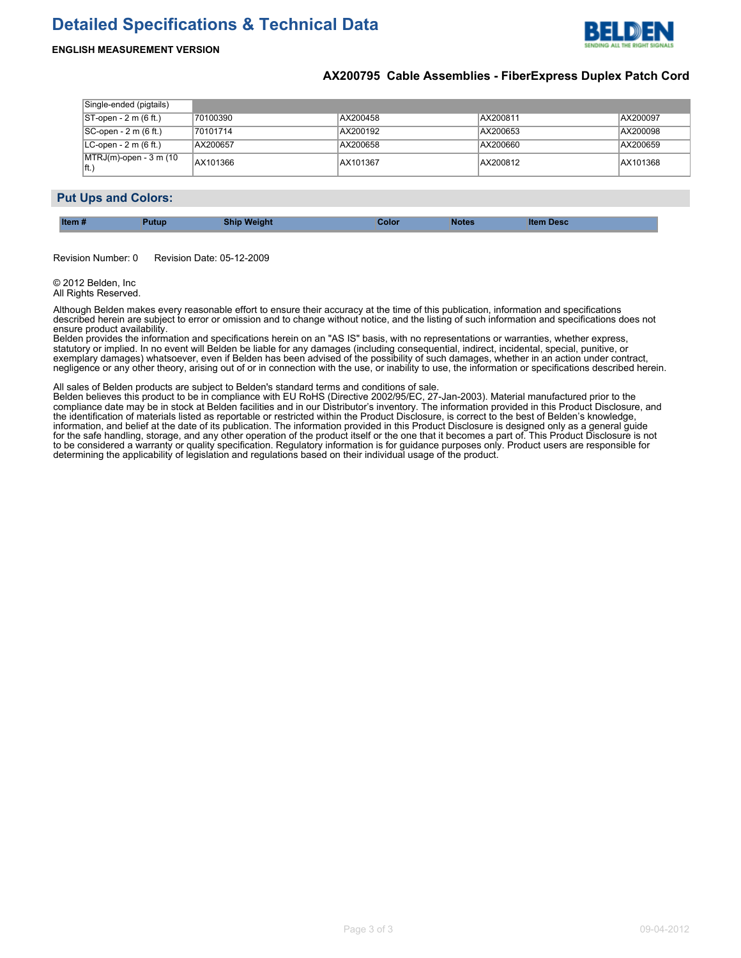# **Detailed Specifications & Technical Data**



#### **ENGLISH MEASUREMENT VERSION**

#### **AX200795 Cable Assemblies - FiberExpress Duplex Patch Cord**

| Single-ended (pigtails)         |          |          |          |          |
|---------------------------------|----------|----------|----------|----------|
| $ ST$ -open - 2 m (6 ft.)       | 70100390 | AX200458 | AX200811 | AX200097 |
| $ SC$ -open - 2 m (6 ft.)       | 70101714 | AX200192 | AX200653 | AX200098 |
| $ LC$ -open - 2 m (6 ft.)       | AX200657 | AX200658 | AX200660 | AX200659 |
| MTRJ(m)-open - 3 m (10<br>∥ft.` | AX101366 | AX101367 | AX200812 | AX101368 |

#### **Put Ups and Colors:**

| <b>Ship Weight</b><br><b>utup</b> | Color | <b>Notes</b> | <b>Item Desc</b> |  |
|-----------------------------------|-------|--------------|------------------|--|
|-----------------------------------|-------|--------------|------------------|--|

Revision Number: 0 Revision Date: 05-12-2009

© 2012 Belden, Inc All Rights Reserved.

Although Belden makes every reasonable effort to ensure their accuracy at the time of this publication, information and specifications described herein are subject to error or omission and to change without notice, and the listing of such information and specifications does not ensure product availability.

Belden provides the information and specifications herein on an "AS IS" basis, with no representations or warranties, whether express, statutory or implied. In no event will Belden be liable for any damages (including consequential, indirect, incidental, special, punitive, or exemplary damages) whatsoever, even if Belden has been advised of the possibility of such damages, whether in an action under contract, negligence or any other theory, arising out of or in connection with the use, or inability to use, the information or specifications described herein.

All sales of Belden products are subject to Belden's standard terms and conditions of sale.

Belden believes this product to be in compliance with EU RoHS (Directive 2002/95/EC, 27-Jan-2003). Material manufactured prior to the compliance date may be in stock at Belden facilities and in our Distributor's inventory. The information provided in this Product Disclosure, and the identification of materials listed as reportable or restricted within the Product Disclosure, is correct to the best of Belden's knowledge, information, and belief at the date of its publication. The information provided in this Product Disclosure is designed only as a general guide for the safe handling, storage, and any other operation of the product itself or the one that it becomes a part of. This Product Disclosure is not to be considered a warranty or quality specification. Regulatory information is for guidance purposes only. Product users are responsible for determining the applicability of legislation and regulations based on their individual usage of the product.